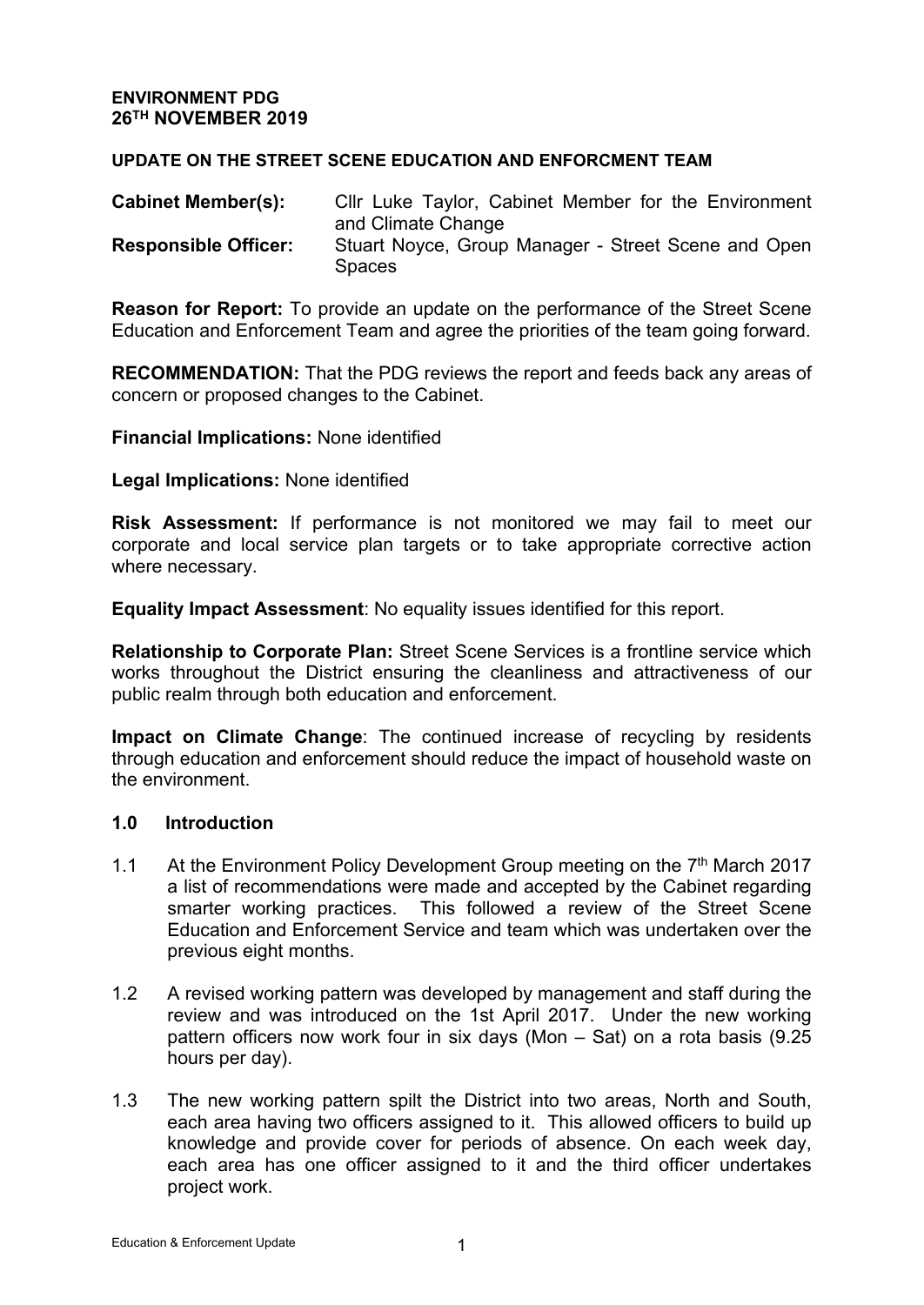### **ENVIRONMENT PDG 26TH NOVEMBER 2019**

#### **UPDATE ON THE STREET SCENE EDUCATION AND ENFORCMENT TEAM**

| <b>Cabinet Member(s):</b>   | Cllr Luke Taylor, Cabinet Member for the Environment |
|-----------------------------|------------------------------------------------------|
|                             | and Climate Change                                   |
| <b>Responsible Officer:</b> | Stuart Noyce, Group Manager - Street Scene and Open  |
|                             | <b>Spaces</b>                                        |

**Reason for Report:** To provide an update on the performance of the Street Scene Education and Enforcement Team and agree the priorities of the team going forward.

**RECOMMENDATION:** That the PDG reviews the report and feeds back any areas of concern or proposed changes to the Cabinet.

**Financial Implications:** None identified

#### **Legal Implications:** None identified

**Risk Assessment:** If performance is not monitored we may fail to meet our corporate and local service plan targets or to take appropriate corrective action where necessary.

**Equality Impact Assessment**: No equality issues identified for this report.

**Relationship to Corporate Plan:** Street Scene Services is a frontline service which works throughout the District ensuring the cleanliness and attractiveness of our public realm through both education and enforcement.

**Impact on Climate Change**: The continued increase of recycling by residents through education and enforcement should reduce the impact of household waste on the environment.

#### **1.0 Introduction**

- 1.1 At the Environment Policy Development Group meeting on the 7<sup>th</sup> March 2017 a list of recommendations were made and accepted by the Cabinet regarding smarter working practices. This followed a review of the Street Scene Education and Enforcement Service and team which was undertaken over the previous eight months.
- 1.2 A revised working pattern was developed by management and staff during the review and was introduced on the 1st April 2017. Under the new working pattern officers now work four in six days (Mon – Sat) on a rota basis (9.25 hours per day).
- 1.3 The new working pattern spilt the District into two areas, North and South, each area having two officers assigned to it. This allowed officers to build up knowledge and provide cover for periods of absence. On each week day, each area has one officer assigned to it and the third officer undertakes project work.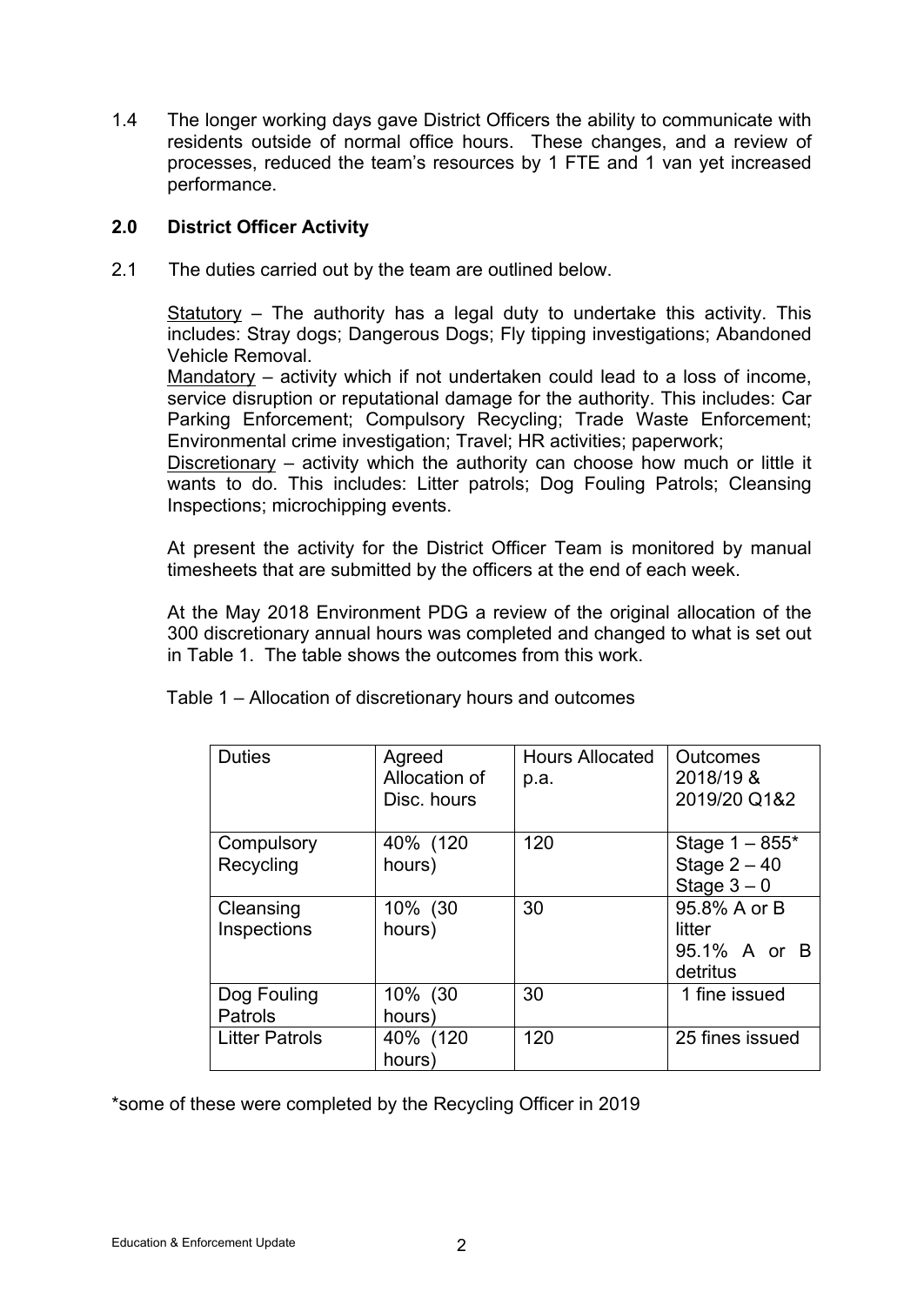1.4 The longer working days gave District Officers the ability to communicate with residents outside of normal office hours. These changes, and a review of processes, reduced the team's resources by 1 FTE and 1 van yet increased performance.

# **2.0 District Officer Activity**

2.1 The duties carried out by the team are outlined below.

Statutory – The authority has a legal duty to undertake this activity. This includes: Stray dogs; Dangerous Dogs; Fly tipping investigations; Abandoned Vehicle Removal.

Mandatory – activity which if not undertaken could lead to a loss of income, service disruption or reputational damage for the authority. This includes: Car Parking Enforcement; Compulsory Recycling; Trade Waste Enforcement; Environmental crime investigation; Travel; HR activities; paperwork;

Discretionary – activity which the authority can choose how much or little it wants to do. This includes: Litter patrols; Dog Fouling Patrols; Cleansing Inspections; microchipping events.

At present the activity for the District Officer Team is monitored by manual timesheets that are submitted by the officers at the end of each week.

At the May 2018 Environment PDG a review of the original allocation of the 300 discretionary annual hours was completed and changed to what is set out in Table 1. The table shows the outcomes from this work.

| <b>Duties</b>                 | Agreed<br>Allocation of<br>Disc. hours | <b>Hours Allocated</b><br>p.a. | Outcomes<br>2018/19 &<br>2019/20 Q1&2              |
|-------------------------------|----------------------------------------|--------------------------------|----------------------------------------------------|
| Compulsory<br>Recycling       | 40% (120<br>hours)                     | 120                            | Stage $1 - 855*$<br>Stage $2 - 40$<br>Stage $3-0$  |
| Cleansing<br>Inspections      | 10% (30<br>hours)                      | 30                             | 95.8% A or B<br>litter<br>95.1% A or B<br>detritus |
| Dog Fouling<br><b>Patrols</b> | 10% (30<br>hours)                      | 30                             | 1 fine issued                                      |
| <b>Litter Patrols</b>         | 40% (120<br>hours)                     | 120                            | 25 fines issued                                    |

Table 1 – Allocation of discretionary hours and outcomes

\*some of these were completed by the Recycling Officer in 2019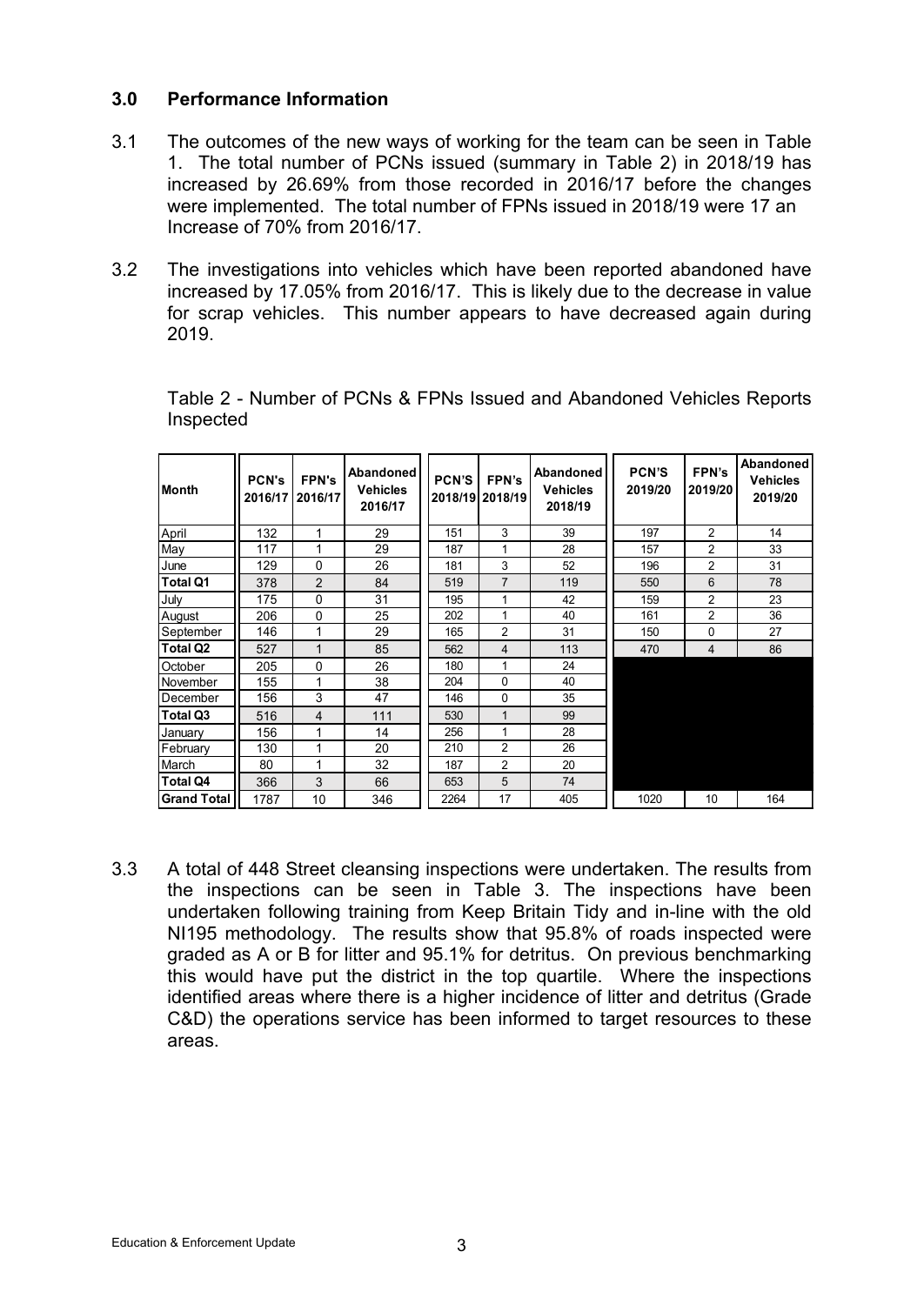### **3.0 Performance Information**

- 3.1 The outcomes of the new ways of working for the team can be seen in Table 1. The total number of PCNs issued (summary in Table 2) in 2018/19 has increased by 26.69% from those recorded in 2016/17 before the changes were implemented. The total number of FPNs issued in 2018/19 were 17 an Increase of 70% from 2016/17.
- 3.2 The investigations into vehicles which have been reported abandoned have increased by 17.05% from 2016/17. This is likely due to the decrease in value for scrap vehicles. This number appears to have decreased again during 2019.

| <b>Month</b>       | <b>PCN's</b><br>2016/17 | <b>FPN's</b><br>2016/17 | Abandoned<br><b>Vehicles</b><br>2016/17 | <b>PCN'S</b> | FPN's<br>2018/19 2018/19 | Abandoned<br><b>Vehicles</b><br>2018/19 | <b>PCN'S</b><br>2019/20 | FPN's<br>2019/20 | <b>Abandoned</b><br><b>Vehicles</b><br>2019/20 |
|--------------------|-------------------------|-------------------------|-----------------------------------------|--------------|--------------------------|-----------------------------------------|-------------------------|------------------|------------------------------------------------|
| April              | 132                     | 1                       | 29                                      | 151          | 3                        | 39                                      | 197                     | $\overline{2}$   | 14                                             |
| May                | 117                     | 1                       | 29                                      | 187          | 1                        | 28                                      | 157                     | $\overline{2}$   | 33                                             |
| June               | 129                     | 0                       | 26                                      | 181          | 3                        | 52                                      | 196                     | $\overline{2}$   | 31                                             |
| <b>Total Q1</b>    | 378                     | $\mathfrak{p}$          | 84                                      | 519          | $\overline{7}$           | 119                                     | 550                     | 6                | 78                                             |
| July               | 175                     | $\mathbf{0}$            | 31                                      | 195          | 1                        | 42                                      | 159                     | $\overline{2}$   | 23                                             |
| August             | 206                     | 0                       | 25                                      | 202          | 1                        | 40                                      | 161                     | $\overline{c}$   | 36                                             |
| September          | 146                     | 1                       | 29                                      | 165          | $\overline{2}$           | 31                                      | 150                     | 0                | 27                                             |
| Total Q2           | 527                     | 1                       | 85                                      | 562          | $\overline{\mathbf{4}}$  | 113                                     | 470                     | 4                | 86                                             |
| October            | 205                     | 0                       | 26                                      | 180          | 1                        | 24                                      |                         |                  |                                                |
| November           | 155                     | 1                       | 38                                      | 204          | $\Omega$                 | 40                                      |                         |                  |                                                |
| December           | 156                     | 3                       | 47                                      | 146          | $\Omega$                 | 35                                      |                         |                  |                                                |
| Total Q3           | 516                     | $\overline{\mathbf{4}}$ | 111                                     | 530          | $\mathbf 1$              | 99                                      |                         |                  |                                                |
| Januarv            | 156                     | 1                       | 14                                      | 256          | 1                        | 28                                      |                         |                  |                                                |
| February           | 130                     | 1                       | 20                                      | 210          | 2                        | 26                                      |                         |                  |                                                |
| March              | 80                      | 1                       | 32                                      | 187          | $\overline{2}$           | 20                                      |                         |                  |                                                |
| <b>Total Q4</b>    | 366                     | 3                       | 66                                      | 653          | 5                        | 74                                      |                         |                  |                                                |
| <b>Grand Total</b> | 1787                    | 10                      | 346                                     | 2264         | 17                       | 405                                     | 1020                    | 10               | 164                                            |

Table 2 - Number of PCNs & FPNs Issued and Abandoned Vehicles Reports Inspected

3.3 A total of 448 Street cleansing inspections were undertaken. The results from the inspections can be seen in Table 3. The inspections have been undertaken following training from Keep Britain Tidy and in-line with the old NI195 methodology. The results show that 95.8% of roads inspected were graded as A or B for litter and 95.1% for detritus. On previous benchmarking this would have put the district in the top quartile. Where the inspections identified areas where there is a higher incidence of litter and detritus (Grade C&D) the operations service has been informed to target resources to these areas.